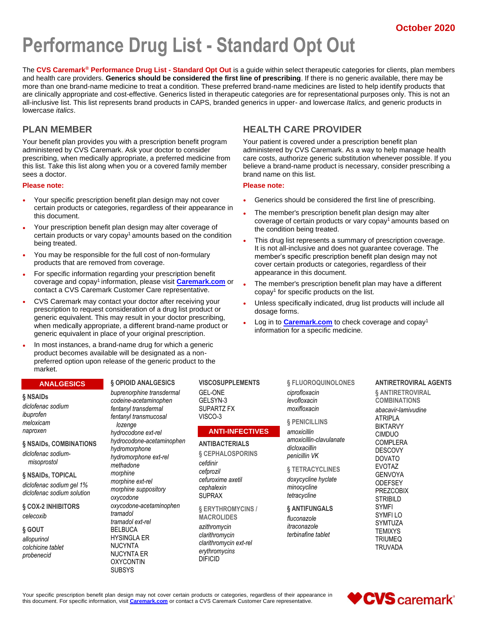# **Performance Drug List - Standard Opt Out**

The **CVS Caremark® Performance Drug List - Standard Opt Out** is a guide within select therapeutic categories for clients, plan members and health care providers. **Generics should be considered the first line of prescribing**. If there is no generic available, there may be more than one brand-name medicine to treat a condition. These preferred brand-name medicines are listed to help identify products that are clinically appropriate and cost-effective. Generics listed in therapeutic categories are for representational purposes only. This is not an all-inclusive list. This list represents brand products in CAPS, branded generics in upper- and lowercase *Italics,* and generic products in lowercase *italics*.

### **PLAN MEMBER**

Your benefit plan provides you with a prescription benefit program administered by CVS Caremark. Ask your doctor to consider prescribing, when medically appropriate, a preferred medicine from this list. Take this list along when you or a covered family member sees a doctor.

#### **Please note:**

- Your specific prescription benefit plan design may not cover certain products or categories, regardless of their appearance in this document.
- Your prescription benefit plan design may alter coverage of certain products or vary copay<sup>1</sup> amounts based on the condition being treated.
- You may be responsible for the full cost of non-formulary products that are removed from coverage.
- For specific information regarding your prescription benefit coverage and copay<sup>1</sup>information, please visit **[Caremark.com](https://www.caremark.com/)** or contact a CVS Caremark Customer Care representative.
- CVS Caremark may contact your doctor after receiving your prescription to request consideration of a drug list product or generic equivalent. This may result in your doctor prescribing, when medically appropriate, a different brand-name product or generic equivalent in place of your original prescription.
- In most instances, a brand-name drug for which a generic product becomes available will be designated as a nonpreferred option upon release of the generic product to the market.

#### **ANALGESICS**

#### **§ NSAIDs**

*diclofenac sodium ibuprofen meloxicam naproxen*

**§ NSAIDs, COMBINATIONS** *diclofenac sodium-*

*misoprostol*

**§ NSAIDs, TOPICAL** *diclofenac sodium gel 1% diclofenac sodium solution*

**§ COX-2 INHIBITORS** *celecoxib*

### **§ GOUT** *allopurinol colchicine tablet*

*probenecid*

#### **§ OPIOID ANALGESICS** *buprenorphine transdermal*

*codeine-acetaminophen fentanyl transdermal fentanyl transmucosal lozenge hydrocodone ext-rel hydrocodone-acetaminophen hydromorphone hydromorphone ext-rel methadone morphine morphine ext-rel morphine suppository oxycodone oxycodone-acetaminophen tramadol tramadol ext-rel* BELBUCA HYSINGLA ER NUCYNTA NUCYNTA ER OXYCONTIN SUBSYS

**VISCOSUPPLEMENTS** GEL-ONE GELSYN-3 SUPARTZ FX VISCO-3

#### **ANTI-INFECTIVES**

**ANTIBACTERIALS § CEPHALOSPORINS** *cefdinir cefprozil cefuroxime axetil cephalexin* SUPRAX

**§ ERYTHROMYCINS / MACROLIDES** *azithromycin clarithromycin clarithromycin ext-rel erythromycins* DIFICID

### **HEALTH CARE PROVIDER**

Your patient is covered under a prescription benefit plan administered by CVS Caremark. As a way to help manage health care costs, authorize generic substitution whenever possible. If you believe a brand-name product is necessary, consider prescribing a brand name on this list.

#### **Please note:**

- Generics should be considered the first line of prescribing.
- The member's prescription benefit plan design may alter coverage of certain products or vary copay<sup>1</sup> amounts based on the condition being treated.
- This drug list represents a summary of prescription coverage. It is not all-inclusive and does not guarantee coverage. The member's specific prescription benefit plan design may not cover certain products or categories, regardless of their appearance in this document.
- The member's prescription benefit plan may have a different copay<sup>1</sup> for specific products on the list.
- Unless specifically indicated, drug list products will include all dosage forms.
- Log in to **[Caremark.com](https://www.caremark.com/)** to check coverage and copay<sup>1</sup> information for a specific medicine.

**§ FLUOROQUINOLONES**

*amoxicillin-clavulanate*

**§ TETRACYCLINES** *doxycycline hyclate minocycline tetracycline* **§ ANTIFUNGALS** *fluconazole itraconazole terbinafine tablet*

*ciprofloxacin levofloxacin moxifloxacin* **§ PENICILLINS** *amoxicillin*

*dicloxacillin penicillin VK*

#### **ANTIRETROVIRAL AGENTS**

**§ ANTIRETROVIRAL COMBINATIONS**

*abacavir-lamivudine* ATRIPLA BIKTARVY CIMDUO COMPLERA **DESCOVY** DOVATO EVOTAZ GENVOYA **ODEFSEY** PREZCOBIX **STRIBILD** SYMFI SYMFI LO SYMTUZA **TEMIXYS** TRIUMEQ TRUVADA

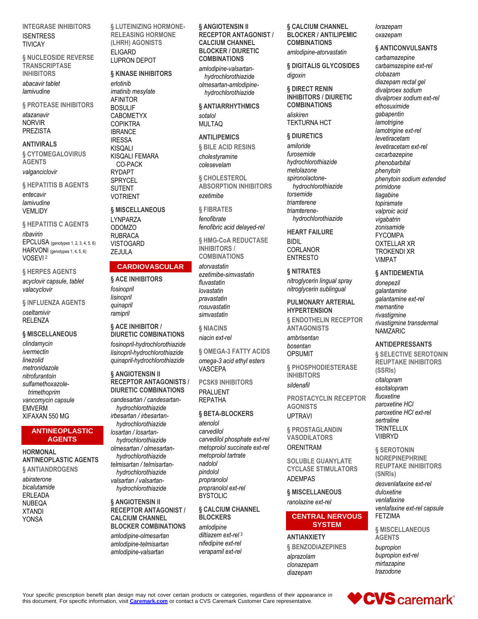**INTEGRASE INHIBITORS ISENTRESS TIVICAY** 

**§ NUCLEOSIDE REVERSE TRANSCRIPTASE INHIRITORS** 

abacavir tablet lamivudine

**§ PROTEASE INHIBITORS** 

atazanavir **NORVIR PREZISTA** 

#### **ANTIVIRALS**

§ CYTOMEGALOVIRUS **AGENTS** valganciclovir

§ HEPATITIS B AGENTS

entecavir lamivudine **VEMLIDY** 

§ HEPATITIS C AGENTS ribavirin EPCLUSA (genotypes 1, 2, 3, 4, 5, 6) HARVONI (genotypes 1, 4, 5, 6) VOSEVI<sup>2</sup>

§ HERPES AGENTS

acyclovir capsule, tablet valacvclovir

§ INFLUENZA AGENTS oseltamivir RFI FN7A

#### § MISCELLANEOUS

clindamycin ivermectin linezolid metronidazole nitrofurantoin sulfamethoxazoletrimethoprim vancomycin capsule **EMVERM** XIFAXAN 550 MG

#### **ANTINEOPLASTIC AGENTS**

**HORMONAL ANTINEOPLASTIC AGENTS** § ANTIANDROGENS

abiraterone bicalutamide **ERLEADA NUBEQA XTANDI YONSA** 

§ LUTEINIZING HORMONE-**RELEASING HORMONE** (LHRH) AGONISTS **ELIGARD LUPRON DEPOT** 

# § KINASE INHIBITORS

erlotinib imatinib mesylate **AFINITOR BOSULIF CABOMETYX COPIKTRA IBRANCE IRESSA KISQALI** KISQALI FEMARA CO-PACK **RYDAPT SPRYCEL SUTENT VOTRIENT** 

### **§ MISCELLANEOUS**

LYNPARZA **ODOMZO RUBRACA VISTOGARD** ZEJULA

### **CARDIOVASCULAR**

§ ACE INHIBITORS fosinopril lisinopril quinapril ramipril

#### § ACE INHIBITOR / **DIURETIC COMBINATIONS**

fosinopril-hydrochlorothiazide lisinopril-hydrochlorothiazide quinapril-hydrochlorothiazide

**& ANGIOTENSIN II RECEPTOR ANTAGONISTS / DIURETIC COMBINATIONS** 

candesartan / candesartanhydrochlorothiazide irbesartan / irbesartanhydrochlorothiazide losartan / losartanhydrochlorothiazide olmesartan / olmesartanhydrochlorothiazide telmisartan / telmisartanhydrochlorothiazide

valsartan / valsartanhydrochlorothiazide

#### § ANGIOTENSIN II **RECEPTOR ANTAGONIST / CALCIUM CHANNEL BLOCKER COMBINATIONS**

amlodipine-olmesartan amlodipine-telmisartan amlodipine-valsartan

§ ANGIOTENSIN II **RECEPTOR ANTAGONIST / CALCIUM CHANNEL BLOCKER / DIURETIC COMBINATIONS** 

amlodipine-valsartanhydrochlorothiazide olmesartan-amlodipinehydrochlorothiazide

#### § ANTIARRHYTHMICS sotalol

**MULTAQ** 

### **ANTILIPEMICS**

§ BILE ACID RESINS cholestyramine colesevelam

**& CHOLESTEROL ABSORPTION INHIBITORS** ezetimibe

**& FIBRATES** 

fenofibrate fenofibric acid delayed-rel

§ HMG-CoA REDUCTASE **INHIBITORS / COMBINATIONS** 

atorvastatin ezetimibe-simvastatin fluvastatin lovastatin pravastatin rosuvastatin simvastatin

**6 NIACINS** niacin ext-rel

**6 OMEGA-3 FATTY ACIDS** omega-3 acid ethyl esters VASCEPA

**PCSK9 INHIBITORS PRALUENT REPATHA** 

#### § BETA-BLOCKERS

atenolol carvedilol carvedilol phosphate ext-rel metoprolol succinate ext-rel metoprolol tartrate nadolol pindolol propranolol propranolol ext-rel **BYSTOLIC** 

#### **6 CALCIUM CHANNEL BLOCKERS**

amlodipine diltiazem ext-rel<sup>3</sup> nifedipine ext-rel verapamil ext-rel

#### § CALCIUM CHANNEL **BLOCKER / ANTILIPEMIC COMBINATIONS**

amlodipine-atorvastatin

§ DIGITALIS GLYCOSIDES digoxin

§ DIRECT RENIN **INHIBITORS / DIURETIC COMBINATIONS** aliskiren

**TEKTURNA HCT** 

§ DIURETICS

amiloride furosemide hydrochlorothiazide metolazone spironolactonehvdrochlorothiazide torsemide triamterene triamterenehydrochlorothiazide

**HEART FAILURE** 

CORLANOR

**BIDIL** 

**ENTRESTO** § NITRATES

nitroglycerin lingual spray nitroglycerin sublingual

#### **PULMONARY ARTERIAL HYPERTENSION**

**& ENDOTHELIN RECEPTOR ANTAGONISTS** 

ambrisentan hosentan **OPSUMIT** 

**& PHOSPHODIESTERASE INHIBITORS** sildenafil

**PROSTACYCLIN RECEPTOR AGONISTS UPTRAVI** 

§ PROSTAGLANDIN **VASODILATORS ORENITRAM** 

**SOLUBLE GUANYLATE CYCLASE STIMULATORS ADEMPAS** 

§ MISCELLANEOUS ranolazine ext-rel

#### **CENTRAL NERVOUS SYSTEM**

**ANTIANXIETY** § BENZODIAZEPINES alprazolam clonazepam diazepam

#### lorazepam oxazepam

#### § ANTICONVULSANTS

carbamazepine carbamazepine ext-rel clobazam diazepam rectal gel divalproex sodium divalproex sodium ext-rel ethosuximide gabapentin lamotrigine lamotrigine ext-rel levetiracetam levetiracetam ext-rel oxcarbazepine phenobarbital phenytoin phenytoin sodium extended primidone tiagabine topiramate valproic acid vigabatrin zonisamide **FYCOMPA OXTELLAR XR TROKENDI XR VIMPAT** 

**& ANTIDEMENTIA** 

donepezil galantamine galantamine ext-rel memantine rivastigmine rivastigmine transdermal **NAMZARIC** 

#### **ANTIDEPRESSANTS**

**§ SELECTIVE SEROTONIN REUPTAKE INHIBITORS** (SSRIs) citalopram escitalopram

fluoxetine paroxetine HCI paroxetine HCI ext-rel sertraline **TRINTELLIX VIIBRYD** 

**& SEROTONIN NOREPINEPHRINE REUPTAKE INHIBITORS** (SNRIs) desvenlafaxine ext-rel duloxetine venlafaxine venlafaxine ext-rel capsule **FETZIMA** 

§ MISCELLANEOUS **AGENTS** bupropion bupropion ext-rel mirtazapine trazodone

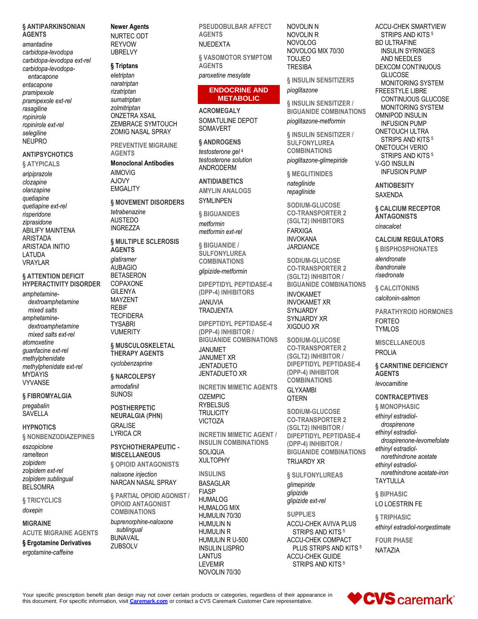#### § ANTIPARKINSONIAN **AGENTS**

amantadine carbidopa-levodopa carbidopa-levodopa ext-rel carbidopa-levodopaentacapone

entacapone pramipexole pramipexole ext-rel rasagiline ropinirole ropinirole ext-rel selegiline **NFUPRO** 

### **ANTIPSYCHOTICS**

#### **§ ATYPICALS**

aripiprazole clozapine olanzapine quetiapine quetiapine ext-rel risperidone ziprasidone **ABILIFY MAINTENA ARISTADA ARISTADA INITIO** LATUDA **VRAYLAR** 

#### **§ ATTENTION DEFICIT HYPERACTIVITY DISORDER**

amphetaminedextroamphetamine mixed salts amphetaminedextroamphetamine mixed salts ext-rel atomoxetine quanfacine ext-rel methylphenidate methylphenidate ext-rel **MYDAYIS VYVANSF** 

#### § FIBROMYALGIA

pregabalin SAVELLA

#### **HYPNOTICS**

§ NONBENZODIAZEPINES

eszopiclone ramelteon zolpidem zolpidem ext-rel zolpidem sublingual **BELSOMRA** 

§ TRICYCLICS doxepin

### **MIGRAINE**

**ACUTE MIGRAINE AGENTS** 

§ Ergotamine Derivatives

ergotamine-caffeine

### **Newer Agents**

NURTEC ODT **RFYVOW UBRELVY** 

### § Triptans

eletriptan naratriptan rizatriptan sumatriptan zolmitriptan **ONZETRA XSAIL** ZEMBRACE SYMTOUCH **ZOMIG NASAL SPRAY** 

**PREVENTIVE MIGRAINE AGENTS** 

**Monoclonal Antibodies AIMOVIG AJOVY EMGALITY** 

**§ MOVEMENT DISORDERS** tetrabenazine **AUSTEDO INGREZZA** 

**§ MULTIPLE SCLEROSIS AGENTS** 

glatiramer **AUBAGIO BETASERON** COPAXONE **GII FNYA** MAYZENT **RFRIF TFCFIDERA TYSABRI VUMERITY** 

#### § MUSCULOSKELETAL **THERAPY AGENTS** cyclobenzaprine

§ NARCOLEPSY armodafinil

**SUNOSI POSTHERPETIC NEURALGIA (PHN) GRALISE LYRICA CR** 

### PSYCHOTHERAPEUTIC -**MISCELLANEOUS**

§ OPIOID ANTAGONISTS naloxone injection NARCAN NASAL SPRAY

**§ PARTIAL OPIOID AGONIST / OPIOID ANTAGONIST COMBINATIONS** buprenorphine-naloxone

sublingual **BUNAVAIL** ZUBSOLV

**PSEUDOBULBAR AFFECT AGENTS NUEDEXTA** 

**§ VASOMOTOR SYMPTOM AGFNTS** 

paroxetine mesylate

#### **ENDOCRINE AND METABOLIC**

**ACROMFGAI Y** SOMATULINE DEPOT **SOMAVERT** 

### § ANDROGENS

testosterone gel 4 testosterone solution **ANDRODERM** 

**ANTIDIABETICS** 

**AMYLIN ANALOGS SYMLINPEN** 

**§ BIGUANIDES** metformin metformin ext-rel

§ BIGUANIDE / **SULFONYLUREA COMBINATIONS** glipizide-metformin

**DIPEPTIDYL PEPTIDASE-4** (DPP-4) INHIBITORS

**JANUVIA** TRADJENTA

**DIPEPTIDYL PEPTIDASE-4** (DPP-4) INHIBITOR / **BIGUANIDE COMBINATIONS JANUMET JANUMET XR JENTADUETO JENTADUETO XR** 

**INCRETIN MIMETIC AGENTS OZEMPIC RYBELSUS TRULICITY VICTOZA** 

**INCRETIN MIMETIC AGENT / INSULIN COMBINATIONS** SOLIQUA **XULTOPHY** 

**INSULINS** 

**BASAGI AR FIASP HUMALOG HUMALOG MIX** HUMULIN 70/30 **HUMULIN N HUMULIN R** HUMULIN R U-500 **INSULIN LISPRO LANTUS LEVEMIR** NOVOLIN 70/30

NOVOLIN N NOVOLIN R **NOVOLOG** NOVOLOG MIX 70/30 **TOUJEO TRESIBA** 

**§ INSULIN SENSITIZERS** pioglitazone

**§ INSULIN SENSITIZER / BIGUANIDE COMBINATIONS** 

pioglitazone-metformin

**& INSULIN SENSITIZER / SULFONYLUREA COMBINATIONS** 

pioglitazone-glimepiride

**& MEGLITINIDES** nateglinide repaglinide

SODIUM-GLUCOSE **CO-TRANSPORTER 2** (SGLT2) INHIBITORS **FARXIGA INVOKANA JARDIANCE** 

SODIUM-GLUCOSE **CO-TRANSPORTER 2** (SGLT2) INHIBITOR / **BIGUANIDE COMBINATIONS INVOKAMET INVOKAMET XR** SYNJARDY SYNJARDY XR XIGDUO XR

SODIUM-GLUCOSE **CO-TRANSPORTER 2** (SGLT2) INHIBITOR / DIPEPTIDYL PEPTIDASE-4 (DPP-4) INHIBITOR **COMBINATIONS GLYXAMBI** 

### **QTERN**

SODIUM-GLUCOSE **CO-TRANSPORTER 2** (SGLT2) INHIBITOR / **DIPEPTIDYL PEPTIDASE-4** (DPP-4) INHIBITOR / **BIGUANIDE COMBINATIONS TRIJARDY XR** 

§ SULFONYLUREAS glimepiride glipizide glipizide ext-rel

**SUPPLIES** ACCU-CHEK AVIVA PLUS STRIPS AND KITS<sup>5</sup> ACCU-CHEK COMPACT PLUS STRIPS AND KITS<sup>5</sup> **ACCU-CHEK GUIDE** STRIPS AND KITS<sup>5</sup>

ACCU-CHEK SMARTVIEW STRIPS AND KITS<sup>5</sup> **BD ULTRAFINE INSULIN SYRINGES** AND NEEDLES **DEXCOM CONTINUOUS GLUCOSE MONITORING SYSTEM FREESTYLE LIBRE** CONTINUOUS GLUCOSE MONITORING SYSTEM **OMNIPOD INSULIN INFUSION PUMP ONETOUCH ULTRA** STRIPS AND KITS<sup>5</sup> **ONETOUCH VERIO** STRIPS AND KITS<sup>5</sup> V-GO INSULIN **INFUSION PUMP** 

**ANTIOBESITY SAXENDA** 

**§ CALCIUM RECEPTOR ANTAGONISTS** cinacalcet

**CALCIUM REGULATORS** § BISPHOSPHONATES alendronate ibandronate risedronate

§ CALCITONINS calcitonin-salmon

**PARATHYROID HORMONES FORTFO TYMLOS** 

**MISCELLANEOUS PROLIA** 

**6 CARNITINE DEFICIENCY AGENTS** levocarnitine

#### **CONTRACEPTIVES**

**6 MONOPHASIC** ethinyl estradioldrospirenone ethinyl estradioldrospirenone-levomefolate ethinyl estradiolnorethindrone acetate ethinyl estradiolnorethindrone acetate-iron **TAYTULLA** 

**& BIPHASIC** 

LO LOESTRIN FE

**& TRIPHASIC** ethinyl estradiol-norgestimate

**FOUR PHASE NATAZIA** 

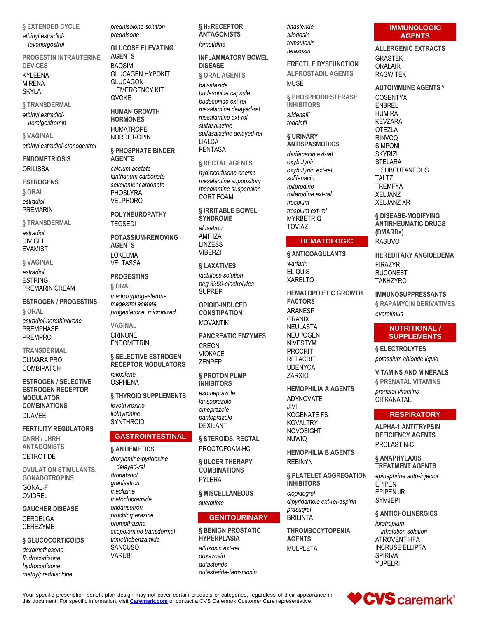**§ EXTENDED CYCLE**

*ethinyl estradiollevonorgestrel*

**PROGESTIN INTRAUTERINE DEVICES**

KYLEENA MIRENA SKYLA

**§ TRANSDERMAL**

*ethinyl estradiolnorelgestromin*

**§ VAGINAL** *ethinyl estradiol-etonogestrel*

**ENDOMETRIOSIS ORILISSA** 

#### **ESTROGENS**

**§ ORAL** *estradiol* PREMARIN

**§ TRANSDERMAL** *estradiol* DIVIGEL EVAMIST

**§ VAGINAL**

*estradiol* ESTRING PREMARIN CREAM

**ESTROGEN / PROGESTINS § ORAL**

*estradiol-norethindrone* PREMPHASE PREMPRO

**TRANSDERMAL**

CLIMARA PRO **COMBIPATCH** 

**ESTROGEN / SELECTIVE ESTROGEN RECEPTOR MODULATOR COMBINATIONS DUAVEE** 

**FERTILITY REGULATORS GNRH / LHRH ANTAGONISTS CETROTIDE** 

**OVULATION STIMULANTS, GONADOTROPINS** GONAL-F OVIDREL

**GAUCHER DISEASE** CERDELGA CEREZYME

#### **§ GLUCOCORTICOIDS**

*dexamethasone fludrocortisone hydrocortisone methylprednisolone* *prednisolone solution prednisone*

**GLUCOSE ELEVATING AGENTS**

BAQSIMI GLUCAGEN HYPOKIT GLUCAGON EMERGENCY KIT GVOKE

**HUMAN GROWTH HORMONES** HUMATROPE

NORDITROPIN

**§ PHOSPHATE BINDER AGENTS** *calcium acetate lanthanum carbonate*

*sevelamer carbonate* PHOSI YRA VELPHORO

**POLYNEUROPATHY TEGSEDI** 

**POTASSIUM-REMOVING AGENTS** LOKELMA VELTASSA

**PROGESTINS**

**§ ORAL** *medroxyprogesterone megestrol acetate progesterone, micronized*

**VAGINAL** CRINONE ENDOMETRIN

**§ SELECTIVE ESTROGEN RECEPTOR MODULATORS** *raloxifene* OSPHENA

**§ THYROID SUPPLEMENTS** *levothyroxine liothyronine* **SYNTHROID** 

### **GASTROINTESTINAL**

#### **§ ANTIEMETICS**

*doxylamine-pyridoxine delayed-rel dronabinol granisetron meclizine metoclopramide ondansetron prochlorperazine promethazine scopolamine transdermal trimethobenzamide* **SANCUSO** VARUBI

**§ H2 RECEPTOR ANTAGONISTS** *famotidine*

**INFLAMMATORY BOWEL DISEASE**

**§ ORAL AGENTS** *balsalazide*

*budesonide capsule budesonide ext-rel mesalamine delayed-rel mesalamine ext-rel sulfasalazine sulfasalazine delayed-rel* LIALDA PENTASA

#### **§ RECTAL AGENTS**

*hydrocortisone enema mesalamine suppository mesalamine suspension* **CORTIFOAM** 

**§ IRRITABLE BOWEL SYNDROME**

*alosetron* AMITIZA **LINZESS** VIBERZI

#### **§ LAXATIVES**

*lactulose solution peg 3350-electrolytes* SUPREP

**OPIOID-INDUCED CONSTIPATION** MOVANTIK

**PANCREATIC ENZYMES** CREON VIOKACE ZENPEP

**§ PROTON PUMP INHIBITORS** 

*esomeprazole lansoprazole omeprazole pantoprazole* DEXILANT

**§ STEROIDS, RECTAL** PROCTOFOAM-HC

**§ ULCER THERAPY COMBINATIONS** PYI FRA

**§ MISCELLANEOUS** *sucralfate*

#### **GENITOURINARY**

**§ BENIGN PROSTATIC HYPERPLASIA** *alfuzosin ext-rel doxazosin dutasteride dutasteride-tamsulosin*

*finasteride silodosin tamsulosin terazosin*

**ERECTILE DYSFUNCTION ALPROSTADIL AGENTS** MUSE

**§ PHOSPHODIESTERASE INHIBITORS** *sildenafil tadalafil*

#### **§ URINARY ANTISPASMODICS**

*darifenacin ext-rel oxybutynin oxybutynin ext-rel solifenacin tolterodine tolterodine ext-rel trospium trospium ext-rel* **MYRBETRIQ** TOVIAZ

### **HEMATOLOGIC**

**§ ANTICOAGULANTS** *warfarin* ELIQUIS XARELTO

**HEMATOPOIETIC GROWTH FACTORS** ARANESP GRANIX NEULASTA NEUPOGEN NIVESTYM PROCRIT RETACRIT UDENYCA ZARXIO

**HEMOPHILIA A AGENTS** ADYNOVATE JIVI KOGENATE FS KOVALTRY NOVOEIGHT NUWIQ

**HEMOPHILIA B AGENTS** REBINYN

**§ PLATELET AGGREGATION INHIBITORS**

*clopidogrel dipyridamole ext-rel-aspirin prasugrel* BRILINTA

**THROMBOCYTOPENIA AGENTS** MULPLETA

### **IMMUNOLOGIC AGENTS**

**ALLERGENIC EXTRACTS** GRASTEK ORALAIR RAGWITEK

### **AUTOIMMUNE AGENTS <sup>6</sup>**

COSENTYX ENBREL HUMIRA KEVZARA OTEZLA RINVOQ SIMPONI **SKYRIZI STELARA SUBCUTANEOUS** TALTZ **TREMFYA** XELJANZ XELJANZ XR

**§ DISEASE-MODIFYING ANTIRHEUMATIC DRUGS (DMARDs)** RASUVO

**HEREDITARY ANGIOEDEMA** FIRAZYR **RUCONEST TAKHZYRO** 

**IMMUNOSUPPRESSANTS § RAPAMYCIN DERIVATIVES** *everolimus*

### **NUTRITIONAL / SUPPLEMENTS**

**§ ELECTROLYTES** *potassium chloride liquid*

**VITAMINS AND MINERALS § PRENATAL VITAMINS** *prenatal vitamins* **CITRANATAL** 

### **RESPIRATORY**

**ALPHA-1 ANTITRYPSIN DEFICIENCY AGENTS** PROLASTIN-C

**§ ANAPHYLAXIS TREATMENT AGENTS** *epinephrine auto-injector* EPIPEN EPIPEN JR SYMJEPI

**§ ANTICHOLINERGICS**

*ipratropium inhalation solution* ATROVENT HFA INCRUSE ELLIPTA SPIRIVA YUPELRI

CVS caremark<sup>®</sup>

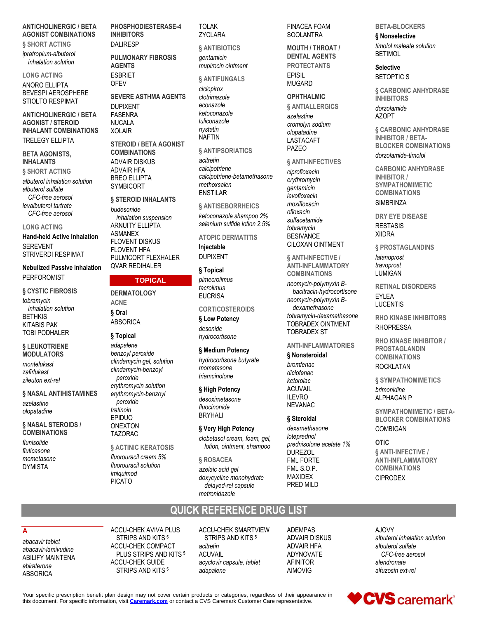#### **ANTICHOLINERGIC / BETA AGONIST COMBINATIONS**

**§ SHORT ACTING** ipratropium-albuterol inhalation solution

**LONG ACTING ANORO ELLIPTA BEVESPI AEROSPHERE STIOLTO RESPIMAT** 

**ANTICHOLINERGIC / BETA AGONIST / STEROID INHALANT COMBINATIONS TRELEGY ELLIPTA** 

#### **BETA AGONISTS, INHALANTS**

§ SHORT ACTING albuterol inhalation solution albuterol sulfate CFC-free aerosol

levalbuterol tartrate CFC-free aerosol

#### **LONG ACTING**

**Hand-held Active Inhalation SEREVENT STRIVERDI RESPIMAT** 

#### **Nebulized Passive Inhalation PERFOROMIST**

**§ CYSTIC FIBROSIS** tobramycin inhalation solution **RFTHKIS KITARIS PAK TOBI PODHAI FR** 

#### § LEUKOTRIENE **MODULATORS**

montelukast zafirlukast zileuton ext-rel

**§ NASAL ANTIHISTAMINES** azelastine olopatadine

§ NASAL STEROIDS / **COMBINATIONS** 

flunisolide fluticasone mometasone **DYMISTA** 

PHOSPHODIESTERASE-4 **INHIBITORS DALIRESP** 

**PULMONARY FIBROSIS AGFNTS ESBRIFT OFEV** 

**SEVERE ASTHMA AGENTS DUPIXENT FASENRA NUCALA XOLAIR** 

**STEROID / BETA AGONIST COMBINATIONS ADVAIR DISKUS ADVAIR HFA BREO FILIPTA SYMBICORT** 

#### § STEROID INHALANTS

hudesonide inhalation suspension ARNUITY FI LIPTA **ASMANEX FLOVENT DISKUS FLOVENT HFA** PULMICORT FLEXHALER **QVAR REDIHALER** 

### **TOPICAL**

### **DERMATOLOGY ACNE 6 Oral**

**ABSORICA** 

### § Topical

adapalene benzoyl peroxide clindamycin gel, solution clindamycin-benzoyl peroxide erythromycin solution erythromycin-benzoyl peroxide tretinoin **FPIDUO ONEXTON TAZORAC** 

### § ACTINIC KERATOSIS fluorouracil cream 5%

fluorouracil solution imiquimod **PICATO** 

**TOLAK ZYCLARA** 

**& ANTIBIOTICS** qentamicin

mupirocin ointment

### **& ANTIFUNGALS**

ciclopirox clotrimazole econazole ketoconazole luliconazole nystatin **NAFTIN** 

**§ ANTIPSORIATICS** 

acitretin calcipotriene calcipotriene-betamethasone methoxsalen **FNSTILAR** 

§ ANTISEBORRHEICS

ketoconazole shampoo 2% selenium sulfide lotion 2.5%

#### **ATOPIC DERMATITIS**

Injectable **DUPIXENT** 

#### § Topical

pimecrolimus tacrolimus **FUCRISA** 

### **CORTICOSTEROIDS**

§ Low Potency desonide hydrocortisone

### § Medium Potency

hydrocortisone butyrate mometasone triamcinolone

#### § High Potency

desoximetasone fluocinonide **BRYHALI** 

#### § Very High Potency

clobetasol cream, foam, gel, lotion, ointment, shampoo

### § ROSACEA

azelaic acid gel doxycycline monohydrate delayed-rel capsule metronidazole

**QUICK REFERENCE DRUG LIST** 

#### **FINACEA FOAM** SOOLANTRA

#### **MOUTH / THROAT / DENTAL AGENTS**

**PROTECTANTS FPISIL** 

### **MUGARD**

#### **OPHTHALMIC** § ANTIALLERGICS

azelastine cromolyn sodium olopatadine **LASTACAFT PAZEO** 

#### § ANTI-INFECTIVES

ciprofloxacin erythromycin gentamicin levofloxacin moxifloxacin ofloxacin sulfacetamide tobramycin **BESIVANCE CILOXAN OINTMENT** 

§ ANTI-INFECTIVE / **ANTI-INFLAMMATORY COMBINATIONS** 

neomycin-polymyxin Bbacitracin-hydrocortisone neomycin-polymyxin Bdexamethasone tobramvcin-dexamethasone **TOBRADEX OINTMENT TOBRADEX ST** 

### **ANTI-INFLAMMATORIES**

#### § Nonsteroidal

bromfenac diclofenac ketorolac **ACUVAIL ILEVRO NEVANAC** 

#### **& Steroidal**

dexamethasone loteprednol prednisolone acetate 1% **DUREZOL FML FORTE** FML S.O.P. **MAXIDEX** PRED MILD

#### **BETA-BLOCKERS**

§ Nonselective timolol maleate solution **RETIMOL** 

#### **Selective**

**BETOPTIC S** 

§ CARBONIC ANHYDRASE **INHIBITORS** dorzolamide **AZOPT** 

§ CARBONIC ANHYDRASE **INHIBITOR / BETA-BLOCKER COMBINATIONS** dorzolamide-timolol

**CARBONIC ANHYDRASE INHIBITOR / SYMPATHOMIMETIC COMBINATIONS SIMBRINZA** 

**DRY EYE DISEASE RESTASIS XIIDRA** 

**§ PROSTAGLANDINS** latanoprost

travoprost **I UMIGAN** 

**RETINAL DISORDERS EYLEA LUCENTIS** 

**RHO KINASE INHIBITORS RHOPRESSA** 

**RHO KINASE INHIBITOR / PROSTAGLANDIN COMBINATIONS ROCKLATAN** 

§ SYMPATHOMIMETICS brimonidine **ALPHAGAN P** 

**SYMPATHOMIMETIC / BETA-BLOCKER COMBINATIONS COMBIGAN** 

#### OTIC.

§ ANTI-INFECTIVE / **ANTI-INFLAMMATORY COMBINATIONS CIPRODEX** 

### A

abacavir tablet abacavir-lamivudine **ABILIFY MAINTENA** abiraterone **ABSORICA** 

ACCU-CHEK AVIVA PLUS STRIPS AND KITS<sup>5</sup> ACCU-CHEK COMPACT PLUS STRIPS AND KITS<sup>5</sup> **ACCU-CHEK GUIDE** STRIPS AND KITS<sup>5</sup>

**ACCU-CHEK SMARTVIEW** STRIPS AND KITS<sup>5</sup> acitretin **ACUVAIL** acyclovir capsule, tablet adapalene

**ADEMPAS ADVAIR DISKUS ADVAIR HFA** ADYNOVATE **AFINITOR AIMOVIG** 

A.IOVY albuterol inhalation solution albuterol sulfate CFC-free aerosol alendronate alfuzosin ext-rel

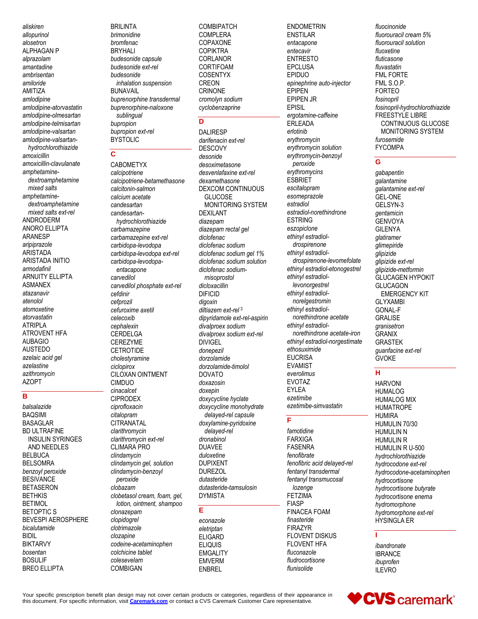aliskiren allopurinol alosetron ALPHAGAN P alprazolam amantadine ambrisentan amiloride AMITIZA amlodipine amlodipine-atorvastatin amlodipine-olmesartan amlodipine-telmisartan amlodipine-valsartan amlodipine-valsartanhydrochlorothiazide amoxicillin amoxicillin-clavulanate amphetaminedextroamphetamine mixed salts amphetaminedextroamphetamine mixed salts ext-rel ANDRODERM ANORO ELLIPTA ARANESP aripiprazole **ARISTADA** ARISTADA INITIO armodafinil **ARNUITY ELLIPTA ASMANEX** atazanavir atenolol atomoxetine atoryastatin **ATRIPLA ATROVENT HFA AUBAGIO AUSTEDO** azelaic acid gel azelastine azithromycin **AZOPT**  $\overline{\mathsf{B}}$ 

balsalazide **BAOSIMI BASAGLAR BD ULTRAFINE INSULIN SYRINGES** AND NEEDLES **BELBUCA BELSOMRA** benzoyl peroxide **BESIVANCE BETASERON BETHKIS BETIMOL BETOPTICS BEVESPI AEROSPHERE** bicalutamide **BIDIL BIKTARVY** hosentan **BOSULIF BREO ELLIPTA** 

**BRILINTA** hrimonidine bromfenac **BRYHALI** budesonide capsule budesonide ext-rel budesonide inhalation suspension **BUNAVAIL** buprenorphine transdermal buprenorphine-naloxone sublingual bupropion bupropion ext-rel **BYSTOLIC** 

#### $\mathbf{C}$

CABOMETYX calcipotriene calcipotriene-betamethasone calcitonin-salmon calcium acetate candesartan candesartanhydrochlorothiazide carbamazepine carbamazepine ext-rel carbidopa-levodopa carbidopa-levodopa ext-rel carbidopa-levodopaentacapone carvedilol carvedilol phosphate ext-rel cefdinir cefprozil cefuroxime axetil celecoxib cephalexin CERDELGA **CEREZYME CETROTIDE** cholestyramine ciclopirox CILOXAN OINTMENT **CIMDUO** cinacalcet **CIPRODEX** ciprofloxacin citalopram **CITRANATAL** clarithromycin clarithromycin ext-rel **CLIMARA PRO** clindamycin clindamycin gel, solution clindamycin-benzoyl peroxide clobazam clobetasol cream, foam, gel, lotion, ointment, shampoo clonazepam clopidogrel clotrimazole clozapine codeine-acetaminophen colchicine tablet colesevelam COMBIGAN

**COMBIPATCH COMPLERA** COPAXONE **COPIKTRA** CORLANOR CORTIFOAM **COSENTYX CREON** CRINONE cromolyn sodium cyclobenzaprine

#### D

**DALIRESP** darifenacin ext-rel **DESCOVY** desonide desoximetasone desvenlafaxine ext-rel dexamethasone **DEXCOM CONTINUOUS GLUCOSE MONITORING SYSTEM DEXILANT** diazepam diazepam rectal gel diclofenac diclofenac sodium diclofenac sodium gel 1% diclofenac sodium solution diclofenac sodiummisoprostol dicloxacillin **DIFICID** diaoxin diltiazem ext-rel<sup>3</sup> dipyridamole ext-rel-aspirin divalproex sodium divalproex sodium ext-rel **DIVIGEL** donepezil dorzolamide dorzolamide-timolol **DOVATO** doxazosin doxepin doxycycline hyclate doxycycline monohydrate delaved-rel capsule doxylamine-pyridoxine delayed-rel dronabinol **DUAVEE** duloxetine **DUPIXENT DURFZOL** dutasteride dutasteride-tamsulosin **DYMISTA** 

#### F

econazole eletriptan ELIGARD **ELIQUIS EMGALITY EMVERM ENBREL** 

**ENDOMETRIN ENSTILAR** entacapone entecavir **ENTRESTO FPCLUSA EPIDUO** epinephrine auto-injector **EPIPEN EPIPEN JR EPISIL** ergotamine-caffeine **ERLEADA** erlotinib erythromycin erythromycin solution erythromycin-benzoyl peroxide erythromycins ESBRIET escitalopram esomeprazole estradiol estradiol-norethindrone **ESTRING** eszopiclone ethinyl estradioldrospirenone ethinyl estradioldrospirenone-levomefolate ethinyl estradiol-etonogestrel ethinyl estradiollevonorgestrel ethinyl estradiolnorelgestromin ethinyl estradiolnorethindrone acetate ethinyl estradiolnorethindrone acetate-iron ethinyl estradiol-norgestimate ethosuximide **EUCRISA EVAMIST** everolimus **EVOTAZ EYLEA** ezetimibe ezetimibe-simvastatin

#### ਜ

famotidine **FARXIGA FASENRA** fenofibrate fenofibric acid delayed-rel fentanyl transdermal fentanyl transmucosal lozenae **FETZIMA FIASP FINACEA FOAM** finasteride **FIRAZYR** FLOVENT DISKUS FI OVENT HFA fluconazole fludrocortisone flunisolide

fluocinonide fluorouracil cream 5% fluorouracil solution fluoxetine fluticasone fluvastatin **FML FORTE** FML S.O.P. **FORTEO** fosinopril fosinopril-hydrochlorothiazide FREESTYLE LIBRE CONTINUOUS GLUCOSE MONITORING SYSTEM furosemide **FYCOMPA** 

#### G

gabapentin galantamine galantamine ext-rel **GEL-ONE** GFI SYN-3 gentamicin **GENVOYA GILENYA** glatiramer glimepiride glipizide glipizide ext-rel glipizide-metformin **GLUCAGEN HYPOKIT GLUCAGON EMERGENCY KIT GLYXAMBI GONAL-F GRALISE** granisetron **GRANIX GRASTEK** quanfacine ext-rel **GVOKE** 

### $\overline{\mathbf{H}}$

**HARVONI HUMALOG HUMALOG MIX HUMATROPE HUMIRA** HUMULIN 70/30 **HUMULIN N HUMULIN R** HUMULIN R U-500 hydrochlorothiazide hydrocodone ext-rel hydrocodone-acetaminophen hydrocortisone hydrocortisone butyrate hydrocortisone enema hydromorphone hydromorphone ext-rel HYSINGLA ER

ibandronate **IBRANCE** ibuprofen **ILEVRO** 

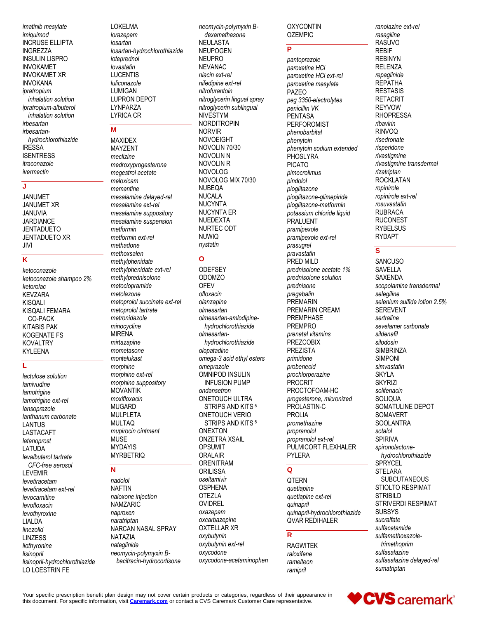imatinib mesylate imiguimod **INCRUSE ELLIPTA INGREZZA INSULIN LISPRO INVOKAMET INVOKAMET XR INVOKANA** ipratropium inhalation solution ipratropium-albuterol inhalation solution irbesartan irbesartanhydrochlorothiazide **IRESSA ISENTRESS** itraconazole ivermectin

#### J

**JANUMET JANUMET XR JANUVIA JARDIANCE JENTADUETO JENTADUETO XR** JIVI

### $\overline{\mathsf{k}}$

ketoconazole ketoconazole shampoo 2% ketorolac **KEVZARA KISQALI** KISQALI FEMARA CO-PACK **KITABIS PAK KOGENATE FS KOVALTRY KYLEENA** 

### L

lactulose solution lamivudine lamotrigine lamotrigine ext-rel lansoprazole lanthanum carbonate **LANTUS** LASTACAFT latanoprost LATUDA levalbuterol tartrate CFC-free aerosol **LEVEMIR** levetiracetam levetiracetam ext-rel levocarnitine levofloxacin levothyroxine **LIALDA** linezolid **LINZESS** liothyronine lisinopril lisinopril-hydrochlorothiazide LO LOESTRIN FE

**LOKELMA** lorazepam losartan losartan-hydrochlorothiazide loteprednol lovastatin **I UCENTIS** luliconazole **LUMIGAN LUPRON DEPOT LYNPARZA LYRICA CR** 

### M

**MAXIDEX MAYZENT** meclizine medroxyprogesterone megestrol acetate meloxicam memantine mesalamine delayed-rel mesalamine ext-rel mesalamine suppository mesalamine suspension metformin metformin ext-rel methadone methoxsalen methylphenidate methylphenidate ext-rel methylprednisolone metoclopramide metolazone metoprolol succinate ext-rel metoprolol tartrate metronidazole minocycline **MIRENA** mirtazapine mometasone montelukast morphine morphine ext-rel morphine suppository **MOVANTIK** moxifloxacin **MUGARD MULPLETA MULTAQ** mupirocin ointment **MUSE MYDAYIS MYRBETRIQ** 

### N

nadolol **NAFTIN** naloxone injection **NAMZARIC** naproxen naratriptan NARCAN NASAL SPRAY **NATAZIA** nateglinide neomycin-polymyxin Bbacitracin-hydrocortisone

neomycin-polymyxin Bdexamethasone NEULASTA **NEUPOGEN NEUPRO** NFVANAC niacin ext-rel nifedipine ext-rel nitrofurantoin nitroglycerin lingual spray nitroglycerin sublingual **NIVESTYM NORDITROPIN NORVIR NOVOEIGHT** NOVOLIN 70/30 NOVOLIN N NOVOLIN R **NOVOLOG** NOVOLOG MIX 70/30 **NUBEQA NUCALA NUCYNTA NUCYNTA ER** NUEDEXTA NURTEC ODT **NUWIQ** nystatin

### $\overline{O}$

**ODEFSEY ODOMZO OFEV** ofloxacin olanzapine olmesartan olmesartan-amlodipinehydrochlorothiazide olmesartanhydrochlorothiazide olopatadine omega-3 acid ethyl esters omeprazole OMNIPOD INSULIN **INFUSION PUMP** ondansetron ONETOUCH ULTRA STRIPS AND KITS<sup>5</sup> **ONETOUCH VERIO** STRIPS AND KITS<sup>5</sup> **ONEXTON ONZETRA XSAIL OPSUMIT ORALAIR ORENITRAM** ORILISSA oseltamivir **OSPHENA OTEZLA OVIDREL** oxazepam oxcarbazepine **OXTELLAR XR** oxybutynin oxybutynin ext-rel oxycodone oxycodone-acetaminophen

#### **OXYCONTIN OZEMPIC**

### $\overline{\mathsf{P}}$

pantoprazole paroxetine HCI paroxetine HCI ext-rel paroxetine mesylate PAZEO peg 3350-electrolytes penicillin VK PENTASA **PERFOROMIST** phenobarbital phenytoin phenytoin sodium extended **PHOSLYRA PICATO** pimecrolimus pindolol pioglitazone pioglitazone-glimepiride pioglitazone-metformin potassium chloride liquid **PRALUENT** pramipexole pramipexole ext-rel prasugrel pravastatin PRED MILD prednisolone acetate 1% prednisolone solution prednisone pregabalin PREMARIN PREMARIN CREAM **PREMPHASE PREMPRO** prenatal vitamins **PREZCOBIX PREZISTA** primidone probenecid prochlorperazine PROCRIT PROCTOFOAM-HC progesterone, micronized PROLASTIN-C PROI IA promethazine propranolol propranolol ext-rel PULMICORT FLEXHALER **PYLERA** 

### $\mathbf Q$

**QTERN** quetiapine quetiapine ext-rel quinapril quinapril-hydrochlorothiazide QVAR REDIHALER

#### R

**RAGWITEK** raloxifene ramelteon ramipril

ranolazine ext-rel rasagiline RASUVO **REBIF REBINYN RELENZA** repaglinide **REPATHA RESTASIS RETACRIT REYVOW RHOPRESSA** ribavirin **RINVOQ** risedronate risperidone rivastigmine rivastigmine transdermal rizatriptan **ROCKLATAN** ropinirole ropinirole ext-rel rosuvastatin **RUBRACA RUCONEST RYBELSUS RYDAPT** 

### S

**SANCUSO SAVELLA SAXENDA** scopolamine transdermal selegiline selenium sulfide lotion 2.5% **SEREVENT** sertraline sevelamer carbonate sildenafil silodosin **SIMBRINZA SIMPONI** simvastatin **SKYLA SKYRIZI** solifenacin **SOLIQUA SOMATULINE DEPOT SOMAVERT SOOLANTRA** sotalol **SPIRIVA** spironolactonehydrochlorothiazide SPRYCEL **STELARA SUBCUTANEOUS** STIOLTO RESPIMAT **STRIBILD** STRIVERDI RESPIMAT **SUBSYS** sucralfate sulfacetamide sulfamethoxazoletrimethoprim sulfasalazine sulfasalazine delayed-rel sumatriptan

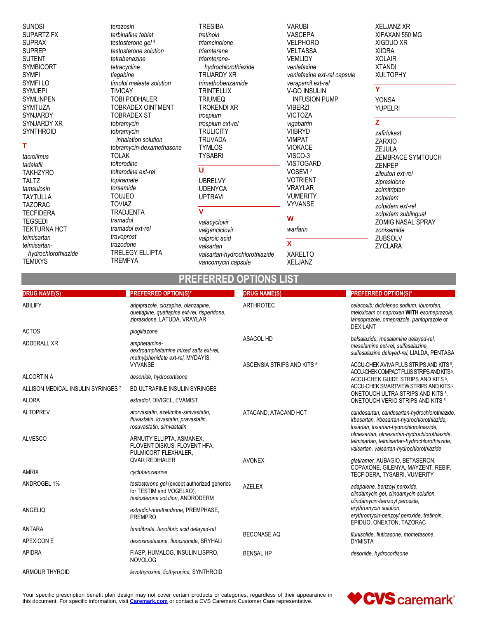**SUNOSI** SUPARTZ FX **SUPRAX SUPREP SUTENT SYMBICORT SYMFI SYMFILO SYMJEPI SYMLINPEN** SYMTUZA SYNJARDY SYNJARDY XR **SYNTHROID** 

#### T

tacrolimus tadalafil **TAKHZYRO TALTZ** tamsulosin **TAYTULLA TAZORAC TECFIDERA TEGSEDI TEKTURNA HCT** telmisartan telmisartanhydrochlorothiazide **TEMIXYS** 

terazosin terbinafine tablet testosterone gel 4 testosterone solution tetrabenazine tetracycline tiagabine timolol maleate solution **TIVICAY TOBI PODHALER** TOBRADEX OINTMENT **TOBRADEX ST** tobramycin tobramycin inhalation solution tobramycin-dexamethasone **TOLAK** tolterodine tolterodine ext-rel topiramate torsemide **TOUJEO TOVIAZ TRADJENTA** tramadol tramadol ext-rel travoprost trazodone **TRELEGY ELLIPTA** 

**TREMFYA** 

**TRESIBA** tretinoin triamcinolone triamterene triamterenehydrochlorothiazide TRIJARDY XR trimethobenzamide **TRINTELLIX TRIUMEQ TROKENDI XR** trospium trospium ext-rel **TRULICITY TRUVADA TYMLOS TYSABRI**  $\overline{U}$ **UBRELVY UDENYCA UPTRAVI**  $\overline{\mathtt{v}}$ valacyclovir valganciclovir

**VARUBI** VASCEPA **VELPHORO VELTASSA VEMLIDY** venlafaxine venlafaxine ext-rel capsule verapamil ext-rel V-GO INSULIN **INFUSION PUMP VIBERZI VICTOZA** vigabatrin **VIIBRYD VIMPAT VIOKACE** VISCO-3 **VISTOGARD** VOSEVI<sup>2</sup> **VOTRIENT VRAYLAR VUMERITY VYVANSE**  $\overline{w}$ warfarin  $\mathbf{x}$ 

**XARELTO** 

**XELJANZ** 

**XELJANZ XR** XIFAXAN 550 MG XIGDUO XR **XIIDRA XOLAIR XTANDI XULTOPHY** 

## Ÿ

**YONSA YUPELRI** 

### $\overline{z}$

zafirlukast **ZARXIO ZEJULA ZEMBRACE SYMTOUCH ZENPEP** zileuton ext-rel ziprasidone zolmitriptan zolpidem zolpidem ext-rel zolpidem sublingual ZOMIG NASAL SPRAY zonisamide ZUBSOLV **ZYCLARA** 

#### **PREFERRED OPTIONS IST**

valsartan-hydrochlorothiazide

vancomycin capsule

valproic acid

valsartan

| <b>DRUG NAME(S)</b>                | <b>PREFERRED OPTION(S)*</b>                                                                                          | <b>DRUG NAME(S)</b>        | <b>PREFERRED OPTION(S)*</b>                                                                                                                                                                                                                                                         |
|------------------------------------|----------------------------------------------------------------------------------------------------------------------|----------------------------|-------------------------------------------------------------------------------------------------------------------------------------------------------------------------------------------------------------------------------------------------------------------------------------|
| ABILIFY                            | aripiprazole, clozapine, olanzapine,<br>quetiapine, quetiapine ext-rel, risperidone,<br>ziprasidone, LATUDA, VRAYLAR | <b>ARTHROTEC</b>           | celecoxib; diclofenac sodium, ibuprofen,<br>meloxicam or naproxen WITH esomeprazole,<br>lansoprazole, omeprazole, pantoprazole or<br><b>DEXILANT</b>                                                                                                                                |
| <b>ACTOS</b>                       | pioglitazone                                                                                                         |                            |                                                                                                                                                                                                                                                                                     |
| ADDERALL XR                        | amphetamine-<br>dextroamphetamine mixed salts ext-rel,<br>methylphenidate ext-rel, MYDAYIS,                          | <b>ASACOL HD</b>           | balsalazide, mesalamine delayed-rel,<br>mesalamine ext-rel, sulfasalazine,<br>sulfasalazine delayed-rel, LIALDA, PENTASA                                                                                                                                                            |
|                                    | <b>VYVANSE</b>                                                                                                       | ASCENSIA STRIPS AND KITS 8 | ACCU-CHEK AVIVA PLUS STRIPS AND KITS <sup>5</sup> .                                                                                                                                                                                                                                 |
| ALCORTIN A                         | desonide, hydrocortisone                                                                                             |                            | ACCU-CHEK COMPACT PLUS STRIPS AND KITS 5.<br>ACCU-CHEK GUIDE STRIPS AND KITS 5.<br>ACCU-CHEK SMARTVIEW STRIPS AND KITS 5.<br>ONETOUCH ULTRA STRIPS AND KITS 5.<br>ONETOUCH VERIO STRIPS AND KITS <sup>5</sup>                                                                       |
| ALLISON MEDICAL INSULIN SYRINGES 7 | BD ULTRAFINE INSULIN SYRINGES                                                                                        |                            |                                                                                                                                                                                                                                                                                     |
| <b>ALORA</b>                       | estradiol, DIVIGEL, EVAMIST                                                                                          |                            |                                                                                                                                                                                                                                                                                     |
| <b>ALTOPREV</b>                    | atorvastatin, ezetimibe-simvastatin,<br>fluvastatin, lovastatin, pravastatin,<br>rosuvastatin, simvastatin           | ATACAND, ATACAND HCT       | candesartan, candesartan-hydrochlorothiazide,<br>irbesartan, irbesartan-hydrochlorothiazide,<br>losartan, losartan-hydrochlorothiazide,<br>olmesartan, olmesartan-hydrochlorothiazide,<br>telmisartan, telmisartan-hydrochlorothiazide,<br>valsartan, valsartan-hydrochlorothiazide |
| <b>ALVESCO</b>                     | ARNUITY ELLIPTA, ASMANEX,<br>FLOVENT DISKUS, FLOVENT HFA,<br>PULMICORT FLEXHALER.                                    |                            |                                                                                                                                                                                                                                                                                     |
|                                    | <b><i>OVAR REDIHALER</i></b>                                                                                         | <b>AVONEX</b>              | glatiramer, AUBAGIO, BETASERON,                                                                                                                                                                                                                                                     |
| AMRIX                              | cyclobenzaprine                                                                                                      |                            | COPAXONE, GILENYA, MAYZENT, REBIF,<br>TECFIDERA, TYSABRI, VUMERITY                                                                                                                                                                                                                  |
| ANDROGEL 1%                        | testosterone gel (except authorized generics<br>for TESTIM and VOGELXO),<br>testosterone solution, ANDRODERM         | <b>AZELEX</b>              | adapalene, benzoyl peroxide,<br>clindamycin gel, clindamycin solution,<br>clindamycin-benzoyl peroxide,                                                                                                                                                                             |
| ANGELIQ                            | estradiol-norethindrone, PREMPHASE,<br><b>PREMPRO</b>                                                                |                            | erythromycin solution,<br>erythromycin-benzoyl peroxide, tretinoin,<br>EPIDUO, ONEXTON, TAZORAC                                                                                                                                                                                     |
| <b>ANTARA</b>                      | fenofibrate, fenofibric acid delayed-rel                                                                             | <b>BECONASE AQ</b>         | flunisolide, fluticasone, mometasone,<br><b>DYMISTA</b>                                                                                                                                                                                                                             |
| <b>APEXICON E</b>                  | desoximetasone, fluocinonide, BRYHALI                                                                                |                            |                                                                                                                                                                                                                                                                                     |
| <b>APIDRA</b>                      | FIASP, HUMALOG, INSULIN LISPRO,<br><b>NOVOLOG</b>                                                                    | <b>BENSAL HP</b>           | desonide, hydrocortisone                                                                                                                                                                                                                                                            |
| <b>ARMOUR THYROID</b>              | levothyroxine, liothyronine, SYNTHROID                                                                               |                            |                                                                                                                                                                                                                                                                                     |

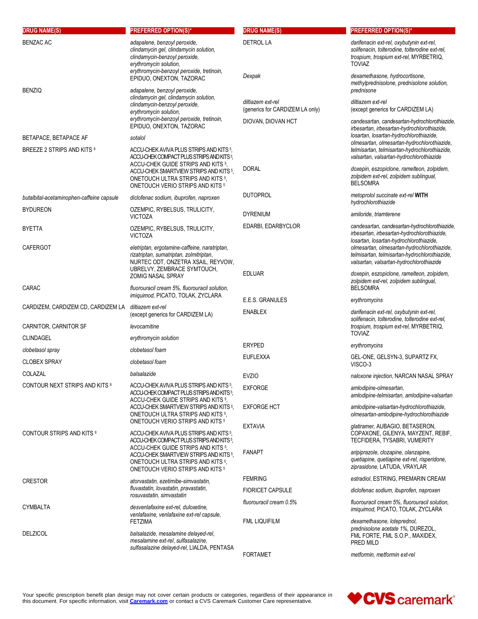| <b>DRUG NAME(S)</b>                       | <b>PREFERRED OPTION(S)*</b>                                                                                                                                                                                                                                           | <b>DRUG NAME(S)</b>                                  | <b>PREFERRED OPTION(S)*</b>                                                                                                                                                       |
|-------------------------------------------|-----------------------------------------------------------------------------------------------------------------------------------------------------------------------------------------------------------------------------------------------------------------------|------------------------------------------------------|-----------------------------------------------------------------------------------------------------------------------------------------------------------------------------------|
| <b>BENZAC AC</b>                          | adapalene, benzoyl peroxide,<br>clindamycin gel, clindamycin solution,<br>clindamycin-benzoyl peroxide,<br>erythromycin solution,                                                                                                                                     | <b>DETROL LA</b>                                     | darifenacin ext-rel, oxybutynin ext-rel,<br>solifenacin, tolterodine, tolterodine ext-rel,<br>trospium, trospium ext-rel, MYRBETRIQ,<br><b>TOVIAZ</b>                             |
| <b>BENZIQ</b>                             | erythromycin-benzoyl peroxide, tretinoin,<br>EPIDUO, ONEXTON, TAZORAC<br>adapalene, benzoyl peroxide,                                                                                                                                                                 | Dexpak                                               | dexamethasone, hydrocortisone,<br>methylprednisolone, prednisolone solution,<br>prednisone                                                                                        |
|                                           | clindamycin gel, clindamycin solution,<br>clindamycin-benzoyl peroxide,<br>erythromycin solution,<br>erythromycin-benzoyl peroxide, tretinoin,<br>EPIDUO, ONEXTON, TAZORAC                                                                                            | diltiazem ext-rel<br>(generics for CARDIZEM LA only) | diltiazem ext-rel<br>(except generics for CARDIZEM LA)                                                                                                                            |
|                                           |                                                                                                                                                                                                                                                                       | DIOVAN, DIOVAN HCT                                   | candesartan, candesartan-hydrochlorothiazide,<br>irbesartan, irbesartan-hydrochlorothiazide,<br>losartan, losartan-hydrochlorothiazide,                                           |
| BETAPACE, BETAPACE AF                     | sotalol                                                                                                                                                                                                                                                               |                                                      | olmesartan, olmesartan-hydrochlorothiazide,                                                                                                                                       |
| BREEZE 2 STRIPS AND KITS 8                | ACCU-CHEK AVIVA PLUS STRIPS AND KITS 5,<br>ACCU-CHEK COMPACT PLUS STRIPS AND KITS <sup>5</sup> ,<br>ACCU-CHEK GUIDE STRIPS AND KITS 5,<br>ACCU-CHEK SMARTVIEW STRIPS AND KITS 5,<br>ONETOUCH ULTRA STRIPS AND KITS 5,<br>ONETOUCH VERIO STRIPS AND KITS 5             | <b>DORAL</b>                                         | telmisartan, telmisartan-hydrochlorothiazide,<br>valsartan, valsartan-hydrochlorothiazide<br>doxepin, eszopiclone, ramelteon, zolpidem,<br>zolpidem ext-rel, zolpidem sublingual, |
|                                           |                                                                                                                                                                                                                                                                       |                                                      | <b>BELSOMRA</b>                                                                                                                                                                   |
| butalbital-acetaminophen-caffeine capsule | diclofenac sodium, ibuprofen, naproxen                                                                                                                                                                                                                                | <b>DUTOPROL</b>                                      | metoprolol succinate ext-rel WITH<br>hydrochlorothiazide                                                                                                                          |
| <b>BYDUREON</b>                           | OZEMPIC, RYBELSUS, TRULICITY,<br><b>VICTOZA</b>                                                                                                                                                                                                                       | <b>DYRENIUM</b>                                      | amiloride, triamterene                                                                                                                                                            |
| <b>BYETTA</b>                             | OZEMPIC, RYBELSUS, TRULICITY,<br><b>VICTOZA</b>                                                                                                                                                                                                                       | EDARBI, EDARBYCLOR                                   | candesartan, candesartan-hydrochlorothiazide,<br>irbesartan, irbesartan-hydrochlorothiazide,<br>losartan, losartan-hydrochlorothiazide,                                           |
| <b>CAFERGOT</b>                           | eletriptan, ergotamine-caffeine, naratriptan,<br>rizatriptan, sumatriptan, zolmitriptan,<br>NURTEC ODT, ONZETRA XSAIL, REYVOW,                                                                                                                                        |                                                      | olmesartan, olmesartan-hydrochlorothiazide,<br>telmisartan, telmisartan-hydrochlorothiazide,<br>valsartan, valsartan-hydrochlorothiazide                                          |
| CARAC                                     | UBRELVY, ZEMBRACE SYMTOUCH,<br>ZOMIG NASAL SPRAY<br>fluorouracil cream 5%, fluorouracil solution,                                                                                                                                                                     | <b>EDLUAR</b>                                        | doxepin, eszopiclone, ramelteon, zolpidem,<br>zolpidem ext-rel, zolpidem sublingual,<br><b>BELSOMRA</b>                                                                           |
|                                           | imiquimod, PICATO, TOLAK, ZYCLARA                                                                                                                                                                                                                                     | E.E.S. GRANULES                                      | erythromycins                                                                                                                                                                     |
| CARDIZEM, CARDIZEM CD, CARDIZEM LA        | diltiazem ext-rel<br>(except generics for CARDIZEM LA)                                                                                                                                                                                                                | <b>ENABLEX</b>                                       | darifenacin ext-rel, oxybutynin ext-rel,<br>solifenacin, tolterodine, tolterodine ext-rel,                                                                                        |
| CARNITOR, CARNITOR SF                     | levocarnitine                                                                                                                                                                                                                                                         |                                                      | trospium, trospium ext-rel, MYRBETRIQ,<br><b>TOVIAZ</b>                                                                                                                           |
| <b>CLINDAGEL</b>                          | erythromycin solution                                                                                                                                                                                                                                                 | <b>ERYPED</b>                                        | erythromycins                                                                                                                                                                     |
| clobetasol spray                          | clobetasol foam                                                                                                                                                                                                                                                       | <b>EUFLEXXA</b>                                      | GEL-ONE, GELSYN-3, SUPARTZ FX,                                                                                                                                                    |
| <b>CLOBEX SPRAY</b>                       | clobetasol foam                                                                                                                                                                                                                                                       |                                                      | VISCO-3                                                                                                                                                                           |
| COLAZAL                                   | balsalazide                                                                                                                                                                                                                                                           | <b>EVZIO</b>                                         | naloxone injection, NARCAN NASAL SPRAY                                                                                                                                            |
| CONTOUR NEXT STRIPS AND KITS 8            | ACCU-CHEK AVIVA PLUS STRIPS AND KITS 5<br>ACCU-CHEK COMPACT PLUS STRIPS AND KITS <sup>5</sup> .<br>ACCU-CHEK GUIDE STRIPS AND KITS 5,<br>ACCU-CHEK SMARTVIEW STRIPS AND KITS <sup>5</sup> .<br>ONETOUCH ULTRA STRIPS AND KITS 5,<br>ONETOUCH VERIO STRIPS AND KITS 5  | <b>EXFORGE</b>                                       | amlodipine-olmesartan,<br>amlodipine-telmisartan, amlodipine-valsartan                                                                                                            |
|                                           |                                                                                                                                                                                                                                                                       | <b>EXFORGE HCT</b>                                   | amlodipine-valsartan-hydrochlorothiazide.<br>olmesartan-amlodipine-hydrochlorothiazide                                                                                            |
| <b>CONTOUR STRIPS AND KITS 8</b>          | ACCU-CHEK AVIVA PLUS STRIPS AND KITS 5.<br>ACCU-CHEK COMPACT PLUS STRIPS AND KITS <sup>5</sup> .<br>ACCU-CHEK GUIDE STRIPS AND KITS 5,<br>ACCU-CHEK SMARTVIEW STRIPS AND KITS <sup>5</sup> .<br>ONETOUCH ULTRA STRIPS AND KITS 5,<br>ONETOUCH VERIO STRIPS AND KITS 5 | <b>EXTAVIA</b>                                       | glatiramer, AUBAGIO, BETASERON,<br>COPAXONE, GILENYA, MAYZENT, REBIF,<br>TECFIDERA, TYSABRI, VUMERITY                                                                             |
|                                           |                                                                                                                                                                                                                                                                       | <b>FANAPT</b>                                        | aripiprazole, clozapine, olanzapine,<br>quetiapine, quetiapine ext-rel, risperidone,<br>ziprasidone, LATUDA, VRAYLAR                                                              |
| <b>CRESTOR</b>                            | atorvastatin, ezetimibe-simvastatin,<br>fluvastatin, lovastatin, pravastatin,<br>rosuvastatin, simvastatin                                                                                                                                                            | <b>FEMRING</b>                                       | estradiol, ESTRING, PREMARIN CREAM                                                                                                                                                |
|                                           |                                                                                                                                                                                                                                                                       | <b>FIORICET CAPSULE</b>                              | diclofenac sodium, ibuprofen, naproxen                                                                                                                                            |
| CYMBALTA                                  | desvenlafaxine ext-rel, duloxetine,<br>venlafaxine, venlafaxine ext-rel capsule,                                                                                                                                                                                      | fluorouracil cream 0.5%                              | fluorouracil cream 5%, fluorouracil solution,<br>imiquimod, PICATO, TOLAK, ZYCLARA                                                                                                |
| <b>DELZICOL</b>                           | <b>FETZIMA</b><br>balsalazide, mesalamine delayed-rel,<br>mesalamine ext-rel, sulfasalazine,                                                                                                                                                                          | <b>FML LIQUIFILM</b>                                 | dexamethasone, loteprednol,<br>prednisolone acetate 1%, DUREZOL,<br>FML FORTE, FML S.O.P., MAXIDEX,<br>PRED MILD                                                                  |
|                                           | sulfasalazine delayed-rel, LIALDA, PENTASA                                                                                                                                                                                                                            | <b>FORTAMET</b>                                      | metformin, metformin ext-rel                                                                                                                                                      |

Your specific prescription benefit plan design may not cover certain products or categories, regardless of their appearance in<br>this document. For specific information, visit <mark>[Caremark.com](https://www.caremark.com/)</mark> or contact a CVS Caremark Custome

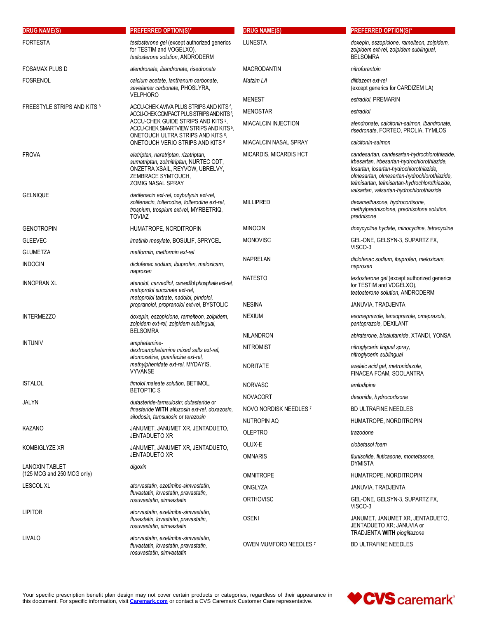| <b>DRUG NAME(S)</b>                | <b>PREFERRED OPTION(S)*</b>                                                                                                                                                                                                                               | <b>DRUG NAME(S)</b>    | <b>PREFERRED OPTION(S)*</b>                                                                                                                                                                                                                                                         |
|------------------------------------|-----------------------------------------------------------------------------------------------------------------------------------------------------------------------------------------------------------------------------------------------------------|------------------------|-------------------------------------------------------------------------------------------------------------------------------------------------------------------------------------------------------------------------------------------------------------------------------------|
| <b>FORTESTA</b>                    | testosterone gel (except authorized generics<br>for TESTIM and VOGELXO),<br>testosterone solution, ANDRODERM                                                                                                                                              | LUNESTA                | doxepin, eszopiclone, ramelteon, zolpidem,<br>zolpidem ext-rel, zolpidem sublingual,<br><b>BELSOMRA</b>                                                                                                                                                                             |
| <b>FOSAMAX PLUS D</b>              | alendronate, ibandronate, risedronate                                                                                                                                                                                                                     | <b>MACRODANTIN</b>     | nitrofurantoin                                                                                                                                                                                                                                                                      |
| <b>FOSRENOL</b>                    | calcium acetate, lanthanum carbonate,<br>sevelamer carbonate, PHOSLYRA,                                                                                                                                                                                   | Matzim LA              | diltiazem ext-rel<br>(except generics for CARDIZEM LA)                                                                                                                                                                                                                              |
|                                    | <b>VELPHORO</b>                                                                                                                                                                                                                                           | <b>MENEST</b>          | estradiol, PREMARIN                                                                                                                                                                                                                                                                 |
| <b>FREESTYLE STRIPS AND KITS 8</b> | ACCU-CHEK AVIVA PLUS STRIPS AND KITS 5,<br>ACCU-CHEK COMPACT PLUS STRIPS AND KITS <sup>5</sup> .<br>ACCU-CHEK GUIDE STRIPS AND KITS 5,<br>ACCU-CHEK SMARTVIEW STRIPS AND KITS 5,<br>ONETOUCH ULTRA STRIPS AND KITS 5,<br>ONETOUCH VERIO STRIPS AND KITS 5 | <b>MENOSTAR</b>        | estradiol                                                                                                                                                                                                                                                                           |
|                                    |                                                                                                                                                                                                                                                           | MIACALCIN INJECTION    | alendronate, calcitonin-salmon, ibandronate,<br>risedronate, FORTEO, PROLIA, TYMLOS                                                                                                                                                                                                 |
|                                    |                                                                                                                                                                                                                                                           | MIACALCIN NASAL SPRAY  | calcitonin-salmon                                                                                                                                                                                                                                                                   |
| <b>FROVA</b>                       | eletriptan, naratriptan, rizatriptan,<br>sumatriptan, zolmitriptan, NURTEC ODT,<br>ONZETRA XSAIL, REYVOW, UBRELVY,<br>ZEMBRACE SYMTOUCH,<br><b>ZOMIG NASAL SPRAY</b>                                                                                      | MICARDIS, MICARDIS HCT | candesartan, candesartan-hydrochlorothiazide,<br>irbesartan, irbesartan-hydrochlorothiazide,<br>losartan, losartan-hydrochlorothiazide,<br>olmesartan, olmesartan-hydrochlorothiazide,<br>telmisartan, telmisartan-hydrochlorothiazide,<br>valsartan, valsartan-hydrochlorothiazide |
| <b>GELNIQUE</b>                    | darifenacin ext-rel, oxybutynin ext-rel,<br>solifenacin, tolterodine, tolterodine ext-rel,<br>trospium, trospium ext-rel, MYRBETRIQ,<br><b>TOVIAZ</b>                                                                                                     | <b>MILLIPRED</b>       | dexamethasone, hydrocortisone,<br>methylprednisolone, prednisolone solution,<br>prednisone                                                                                                                                                                                          |
| <b>GENOTROPIN</b>                  | HUMATROPE, NORDITROPIN                                                                                                                                                                                                                                    | <b>MINOCIN</b>         | doxycycline hyclate, minocycline, tetracycline                                                                                                                                                                                                                                      |
| <b>GLEEVEC</b>                     | <i>imatinib mesylate, BOSULIF, SPRYCEL</i>                                                                                                                                                                                                                | <b>MONOVISC</b>        | GEL-ONE, GELSYN-3, SUPARTZ FX,<br>VISCO-3                                                                                                                                                                                                                                           |
| <b>GLUMETZA</b>                    | metformin, metformin ext-rel                                                                                                                                                                                                                              | NAPRELAN               | diclofenac sodium, ibuprofen, meloxicam,                                                                                                                                                                                                                                            |
| <b>INDOCIN</b>                     | diclofenac sodium, ibuprofen, meloxicam,<br>naproxen                                                                                                                                                                                                      |                        | naproxen                                                                                                                                                                                                                                                                            |
| INNOPRAN XL                        | atenolol, carvedilol, carvedilol phosphate ext-rel,<br>metoprolol succinate ext-rel,<br>metoprolol tartrate, nadolol, pindolol,<br>propranolol, propranolol ext-rel, BYSTOLIC                                                                             | <b>NATESTO</b>         | testosterone gel (except authorized generics<br>for TESTIM and VOGELXO).<br>testosterone solution, ANDRODERM                                                                                                                                                                        |
|                                    |                                                                                                                                                                                                                                                           | <b>NESINA</b>          | JANUVIA, TRADJENTA                                                                                                                                                                                                                                                                  |
| <b>INTERMEZZO</b>                  | doxepin, eszopiclone, ramelteon, zolpidem,<br>zolpidem ext-rel, zolpidem sublingual,                                                                                                                                                                      | <b>NEXIUM</b>          | esomeprazole, lansoprazole, omeprazole,<br>pantoprazole, DEXILANT                                                                                                                                                                                                                   |
|                                    | <b>BELSOMRA</b>                                                                                                                                                                                                                                           | <b>NILANDRON</b>       | abiraterone, bicalutamide, XTANDI, YONSA                                                                                                                                                                                                                                            |
| <b>INTUNIV</b>                     | amphetamine-<br>dextroamphetamine mixed salts ext-rel,<br>atomoxetine, guanfacine ext-rel,<br>methylphenidate ext-rel, MYDAYIS,<br><b>VYVANSE</b>                                                                                                         | <b>NITROMIST</b>       | nitroglycerin lingual spray,<br>nitroglycerin sublingual                                                                                                                                                                                                                            |
|                                    |                                                                                                                                                                                                                                                           | <b>NORITATE</b>        | azelaic acid gel, metronidazole,<br>FINACEA FOAM, SOOLANTRA                                                                                                                                                                                                                         |
| <b>ISTALOL</b>                     | timolol maleate solution, BETIMOL,<br><b>BETOPTIC S</b>                                                                                                                                                                                                   | <b>NORVASC</b>         | amlodipine                                                                                                                                                                                                                                                                          |
| JALYN                              | dutasteride-tamsulosin: dutasteride or<br>finasteride WITH alfuzosin ext-rel, doxazosin,                                                                                                                                                                  | <b>NOVACORT</b>        | desonide, hydrocortisone                                                                                                                                                                                                                                                            |
|                                    |                                                                                                                                                                                                                                                           | NOVO NORDISK NEEDLES 7 | <b>BD ULTRAFINE NEEDLES</b>                                                                                                                                                                                                                                                         |
|                                    | silodosin, tamsulosin or terazosin<br>JANUMET, JANUMET XR, JENTADUETO,<br>JENTADUETO XR                                                                                                                                                                   | NUTROPIN AQ            | HUMATROPE, NORDITROPIN                                                                                                                                                                                                                                                              |
| <b>KAZANO</b>                      |                                                                                                                                                                                                                                                           | <b>OLEPTRO</b>         | trazodone                                                                                                                                                                                                                                                                           |
| Kombiglyze XR                      | JANUMET, JANUMET XR, JENTADUETO,                                                                                                                                                                                                                          | OLUX-E                 | clobetasol foam                                                                                                                                                                                                                                                                     |
| <b>LANOXIN TABLET</b>              | JENTADUETO XR<br>digoxin                                                                                                                                                                                                                                  | <b>OMNARIS</b>         | flunisolide, fluticasone, mometasone,<br><b>DYMISTA</b>                                                                                                                                                                                                                             |
| (125 MCG and 250 MCG only)         |                                                                                                                                                                                                                                                           | <b>OMNITROPE</b>       | HUMATROPE, NORDITROPIN                                                                                                                                                                                                                                                              |
| <b>LESCOL XL</b>                   | atorvastatin, ezetimibe-simvastatin,<br>fluvastatin, lovastatin, pravastatin,<br>rosuvastatin, simvastatin                                                                                                                                                | ONGLYZA                | JANUVIA, TRADJENTA                                                                                                                                                                                                                                                                  |
|                                    |                                                                                                                                                                                                                                                           | <b>ORTHOVISC</b>       | GEL-ONE, GELSYN-3, SUPARTZ FX,<br>VISCO-3                                                                                                                                                                                                                                           |
| <b>LIPITOR</b>                     | atorvastatin, ezetimibe-simvastatin,<br>fluvastatin, lovastatin, pravastatin,<br>rosuvastatin, simvastatin                                                                                                                                                | <b>OSENI</b>           | JANUMET, JANUMET XR, JENTADUETO,<br>JENTADUETO XR; JANUVIA or<br>TRADJENTA WITH pioglitazone                                                                                                                                                                                        |
| LIVALO                             | atorvastatin, ezetimibe-simvastatin,<br>fluvastatin, lovastatin, pravastatin,<br>rosuvastatin, simvastatin                                                                                                                                                | OWEN MUMFORD NEEDLES 7 | <b>BD ULTRAFINE NEEDLES</b>                                                                                                                                                                                                                                                         |

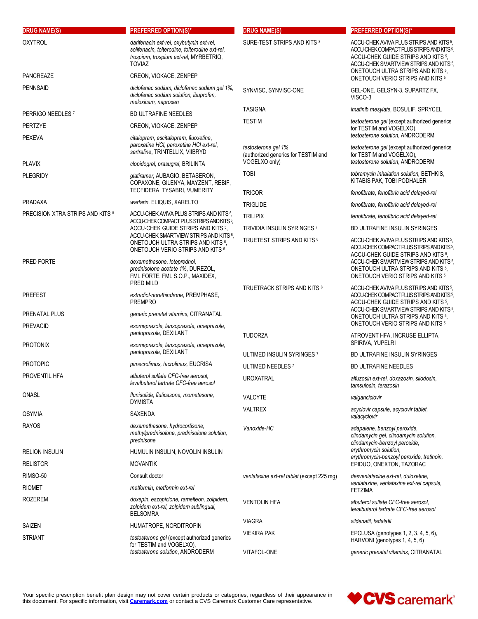| <b>DRUG NAME(S)</b>                | <b>PREFERRED OPTION(S)*</b>                                                                                                                    | <b>DRUG NAME(S)</b>                                        | <b>PREFERRED OPTION(S)*</b>                                                                                                                                                                                                                              |
|------------------------------------|------------------------------------------------------------------------------------------------------------------------------------------------|------------------------------------------------------------|----------------------------------------------------------------------------------------------------------------------------------------------------------------------------------------------------------------------------------------------------------|
| <b>OXYTROL</b>                     | darifenacin ext-rel, oxybutynin ext-rel,<br>solifenacin, tolterodine, tolterodine ext-rel,<br>trospium, trospium ext-rel, MYRBETRIQ,<br>TOVIAZ | SURE-TEST STRIPS AND KITS <sup>8</sup>                     | ACCU-CHEK AVIVA PLUS STRIPS AND KITS <sup>5</sup> ,<br>ACCU-CHEK COMPACT PLUS STRIPS AND KITS 5,<br>ACCU-CHEK GUIDE STRIPS AND KITS 5.<br>ACCU-CHEK SMARTVIEW STRIPS AND KITS 5,                                                                         |
| <b>PANCREAZE</b>                   | CREON, VIOKACE, ZENPEP                                                                                                                         |                                                            | ONETOUCH ULTRA STRIPS AND KITS 5.<br>ONETOUCH VERIO STRIPS AND KITS 5                                                                                                                                                                                    |
| <b>PENNSAID</b>                    | diclofenac sodium, diclofenac sodium gel 1%,<br>diclofenac sodium solution, ibuprofen,<br>meloxicam, naproxen                                  | SYNVISC, SYNVISC-ONE                                       | GEL-ONE, GELSYN-3, SUPARTZ FX,<br>VISCO-3                                                                                                                                                                                                                |
| PERRIGO NEEDLES <sup>7</sup>       | <b>BD ULTRAFINE NEEDLES</b>                                                                                                                    | <b>TASIGNA</b>                                             | imatinib mesylate, BOSULIF, SPRYCEL                                                                                                                                                                                                                      |
| PERTZYE                            | CREON, VIOKACE, ZENPEP                                                                                                                         | <b>TESTIM</b>                                              | testosterone gel (except authorized generics                                                                                                                                                                                                             |
| <b>PEXEVA</b>                      | citalopram, escitalopram, fluoxetine,                                                                                                          |                                                            | for TESTIM and VOGELXO),<br>testosterone solution, ANDRODERM                                                                                                                                                                                             |
|                                    | paroxetine HCI, paroxetine HCI ext-rel,<br>sertraline, TRINTELLIX, VIIBRYD                                                                     | testosterone gel 1%<br>(authorized generics for TESTIM and | testosterone gel (except authorized generics<br>for TESTIM and VOGELXO),                                                                                                                                                                                 |
| <b>PLAVIX</b>                      | clopidogrel, prasugrel, BRILINTA                                                                                                               | VOGELXO only)                                              | testosterone solution, ANDRODERM                                                                                                                                                                                                                         |
| <b>PLEGRIDY</b>                    | glatiramer, AUBAGIO, BETASERON,<br>COPAXONE, GILENYA, MAYZENT, REBIF,<br>TECFIDERA, TYSABRI, VUMERITY                                          | <b>TOBI</b>                                                | tobramycin inhalation solution, BETHKIS,<br>KITABIS PAK, TOBI PODHALER                                                                                                                                                                                   |
| <b>PRADAXA</b>                     | warfarin, ELIQUIS, XARELTO                                                                                                                     | <b>TRICOR</b>                                              | fenofibrate, fenofibric acid delayed-rel                                                                                                                                                                                                                 |
| PRECISION XTRA STRIPS AND KITS 8   | ACCU-CHEK AVIVA PLUS STRIPS AND KITS 5,                                                                                                        | <b>TRIGLIDE</b>                                            | fenofibrate, fenofibric acid delayed-rel                                                                                                                                                                                                                 |
|                                    | ACCU-CHEK COMPACT PLUS STRIPS AND KITS 5.                                                                                                      | <b>TRILIPIX</b>                                            | fenofibrate, fenofibric acid delayed-rel                                                                                                                                                                                                                 |
|                                    | ACCU-CHEK GUIDE STRIPS AND KITS 5.<br>ACCU-CHEK SMARTVIEW STRIPS AND KITS 5,                                                                   | TRIVIDIA INSULIN SYRINGES 7                                | <b>BD ULTRAFINE INSULIN SYRINGES</b>                                                                                                                                                                                                                     |
| PRED FORTE                         | ONETOUCH ULTRA STRIPS AND KITS 5,<br>ONETOUCH VERIO STRIPS AND KITS 5<br>dexamethasone, loteprednol,                                           | TRUETEST STRIPS AND KITS 8                                 | ACCU-CHEK AVIVA PLUS STRIPS AND KITS 5,<br>ACCU-CHEK COMPACT PLUS STRIPS AND KITS 5,<br>ACCU-CHEK GUIDE STRIPS AND KITS 5,<br>ACCU-CHEK SMARTVIEW STRIPS AND KITS 5,                                                                                     |
|                                    | prednisolone acetate 1%, DUREZOL,<br>FML FORTE, FML S.O.P., MAXIDEX,<br>PRED MILD                                                              |                                                            | ONETOUCH ULTRA STRIPS AND KITS 5,<br>ONETOUCH VERIO STRIPS AND KITS 5                                                                                                                                                                                    |
| <b>PREFEST</b>                     | estradiol-norethindrone, PREMPHASE,<br><b>PREMPRO</b>                                                                                          | TRUETRACK STRIPS AND KITS 8                                | ACCU-CHEK AVIVA PLUS STRIPS AND KITS <sup>5</sup> ,<br>ACCU-CHEK COMPACT PLUS STRIPS AND KITS 5.<br>ACCU-CHEK GUIDE STRIPS AND KITS 5,<br>ACCU-CHEK SMARTVIEW STRIPS AND KITS 5,<br>ONETOUCH ULTRA STRIPS AND KITS 5<br>ONETOUCH VERIO STRIPS AND KITS 5 |
| PRENATAL PLUS                      | generic prenatal vitamins, CITRANATAL                                                                                                          |                                                            |                                                                                                                                                                                                                                                          |
| <b>PREVACID</b><br><b>PROTONIX</b> | esomeprazole, lansoprazole, omeprazole,<br>pantoprazole, DEXILANT                                                                              | <b>TUDORZA</b>                                             | ATROVENT HFA, INCRUSE ELLIPTA,<br>SPIRIVA, YUPELRI                                                                                                                                                                                                       |
|                                    | esomeprazole, lansoprazole, omeprazole,<br>pantoprazole, DEXILANT                                                                              | ULTIMED INSULIN SYRINGES 7                                 | <b>BD ULTRAFINE INSULIN SYRINGES</b>                                                                                                                                                                                                                     |
| <b>PROTOPIC</b>                    | pimecrolimus, tacrolimus, EUCRISA                                                                                                              | ULTIMED NEEDLES 7                                          | <b>BD ULTRAFINE NEEDLES</b>                                                                                                                                                                                                                              |
| PROVENTIL HFA                      | albuterol sulfate CFC-free aerosol.<br>levalbuterol tartrate CFC-free aerosol                                                                  | UROXATRAL                                                  | alfuzosin ext-rel, doxazosin, silodosin,<br>tamsulosin, terazosin                                                                                                                                                                                        |
| QNASL                              | flunisolide, fluticasone, mometasone,<br><b>DYMISTA</b>                                                                                        | <b>VALCYTE</b>                                             | valganciclovir                                                                                                                                                                                                                                           |
| QSYMIA                             | SAXENDA                                                                                                                                        | <b>VALTREX</b>                                             | acyclovir capsule, acyclovir tablet,<br>valacyclovir                                                                                                                                                                                                     |
| <b>RAYOS</b>                       | dexamethasone, hydrocortisone,<br>methylprednisolone, prednisolone solution,<br>prednisone                                                     | Vanoxide-HC                                                | adapalene, benzoyl peroxide,<br>clindamycin gel, clindamycin solution,<br>clindamycin-benzoyl peroxide.                                                                                                                                                  |
| <b>RELION INSULIN</b>              | HUMULIN INSULIN, NOVOLIN INSULIN                                                                                                               |                                                            | erythromycin solution,<br>erythromycin-benzoyl peroxide, tretinoin,<br>EPIDUO, ONEXTON, TAZORAC                                                                                                                                                          |
| <b>RELISTOR</b>                    | <b>MOVANTIK</b>                                                                                                                                |                                                            |                                                                                                                                                                                                                                                          |
| RIMSO-50                           | Consult doctor                                                                                                                                 | venlafaxine ext-rel tablet (except 225 mg)                 | desvenlafaxine ext-rel, duloxetine,<br>venlafaxine, venlafaxine ext-rel capsule,<br><b>FETZIMA</b>                                                                                                                                                       |
| <b>RIOMET</b>                      | metformin, metformin ext-rel                                                                                                                   |                                                            |                                                                                                                                                                                                                                                          |
| <b>ROZEREM</b>                     | doxepin, eszopiclone, ramelteon, zolpidem,<br>zolpidem ext-rel, zolpidem sublingual,<br><b>BELSOMRA</b>                                        | <b>VENTOLIN HFA</b>                                        | albuterol sulfate CFC-free aerosol.<br>levalbuterol tartrate CFC-free aerosol                                                                                                                                                                            |
| SAIZEN                             | HUMATROPE, NORDITROPIN                                                                                                                         | <b>VIAGRA</b>                                              | sildenafil, tadalafil                                                                                                                                                                                                                                    |
| <b>STRIANT</b>                     | testosterone gel (except authorized generics<br>for TESTIM and VOGELXO),                                                                       | <b>VIEKIRA PAK</b>                                         | EPCLUSA (genotypes 1, 2, 3, 4, 5, 6),<br>HARVONI (genotypes 1, 4, 5, 6)                                                                                                                                                                                  |
|                                    | testosterone solution, ANDRODERM                                                                                                               | VITAFOL-ONE                                                | generic prenatal vitamins, CITRANATAL                                                                                                                                                                                                                    |